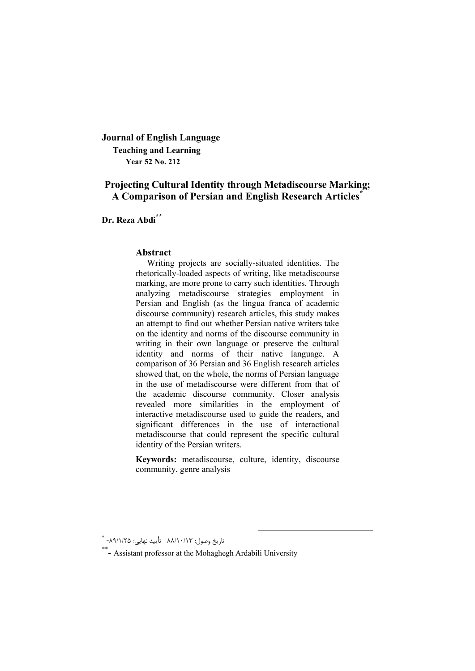**Journal of English Language Teaching and Learning Year 52 No. 212**

# **Projecting Cultural Identity through Metadiscourse Marking; A Comparison of Persian and English Research Articles\***

**Dr. Reza Abdi\*\***

#### **Abstract**

Writing projects are socially-situated identities. The rhetorically-loaded aspects of writing, like metadiscourse marking, are more prone to carry such identities. Through analyzing metadiscourse strategies employment in Persian and English (as the lingua franca of academic discourse community) research articles, this study makes an attempt to find out whether Persian native writers take on the identity and norms of the discourse community in writing in their own language or preserve the cultural identity and norms of their native language. A comparison of 36 Persian and 36 English research articles showed that, on the whole, the norms of Persian language in the use of metadiscourse were different from that of the academic discourse community. Closer analysis revealed more similarities in the employment of interactive metadiscourse used to guide the readers, and significant differences in the use of interactional metadiscourse that could represent the specific cultural identity of the Persian writers.

**Keywords:** metadiscourse, culture, identity, discourse community, genre analysis

تاریخ وصول: 88/10/13 تأیید نهایی: 25 /1/ -<sup>89</sup> \*

<sup>\*\*-</sup> Assistant professor at the Mohaghegh Ardabili University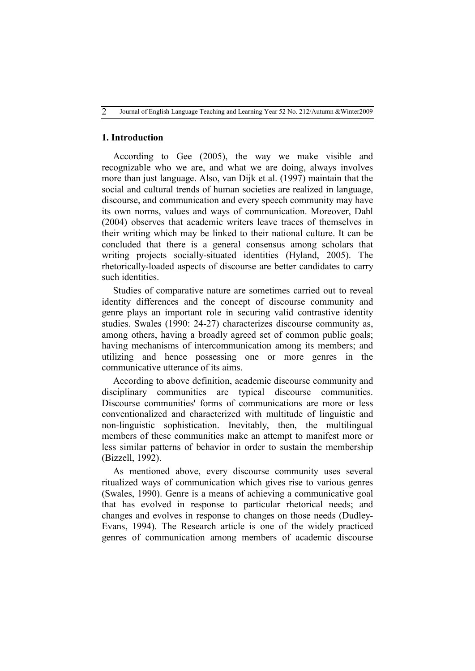### **1. Introduction**

According to Gee (2005), the way we make visible and recognizable who we are, and what we are doing, always involves more than just language. Also, van Dijk et al. (1997) maintain that the social and cultural trends of human societies are realized in language, discourse, and communication and every speech community may have its own norms, values and ways of communication. Moreover, Dahl (2004) observes that academic writers leave traces of themselves in their writing which may be linked to their national culture. It can be concluded that there is a general consensus among scholars that writing projects socially-situated identities (Hyland, 2005). The rhetorically-loaded aspects of discourse are better candidates to carry such identities.

Studies of comparative nature are sometimes carried out to reveal identity differences and the concept of discourse community and genre plays an important role in securing valid contrastive identity studies. Swales (1990: 24-27) characterizes discourse community as, among others, having a broadly agreed set of common public goals; having mechanisms of intercommunication among its members; and utilizing and hence possessing one or more genres in the communicative utterance of its aims.

According to above definition, academic discourse community and disciplinary communities are typical discourse communities. Discourse communities' forms of communications are more or less conventionalized and characterized with multitude of linguistic and non-linguistic sophistication. Inevitably, then, the multilingual members of these communities make an attempt to manifest more or less similar patterns of behavior in order to sustain the membership (Bizzell, 1992).

As mentioned above, every discourse community uses several ritualized ways of communication which gives rise to various genres (Swales, 1990). Genre is a means of achieving a communicative goal that has evolved in response to particular rhetorical needs; and changes and evolves in response to changes on those needs (Dudley-Evans, 1994). The Research article is one of the widely practiced genres of communication among members of academic discourse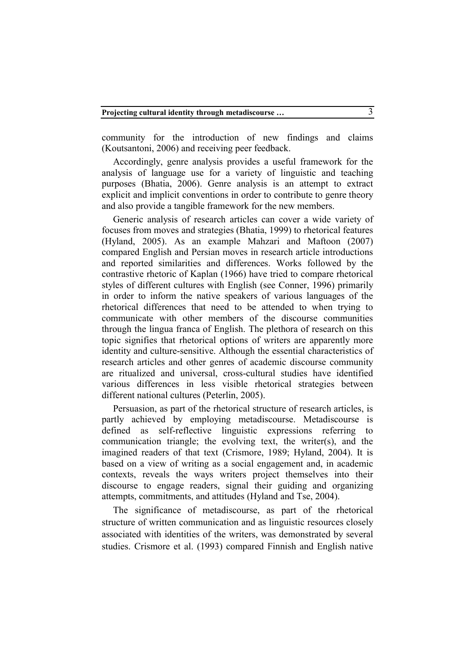community for the introduction of new findings and claims (Koutsantoni, 2006) and receiving peer feedback.

Accordingly, genre analysis provides a useful framework for the analysis of language use for a variety of linguistic and teaching purposes (Bhatia, 2006). Genre analysis is an attempt to extract explicit and implicit conventions in order to contribute to genre theory and also provide a tangible framework for the new members.

Generic analysis of research articles can cover a wide variety of focuses from moves and strategies (Bhatia, 1999) to rhetorical features (Hyland, 2005). As an example Mahzari and Maftoon (2007) compared English and Persian moves in research article introductions and reported similarities and differences. Works followed by the contrastive rhetoric of Kaplan (1966) have tried to compare rhetorical styles of different cultures with English (see Conner, 1996) primarily in order to inform the native speakers of various languages of the rhetorical differences that need to be attended to when trying to communicate with other members of the discourse communities through the lingua franca of English. The plethora of research on this topic signifies that rhetorical options of writers are apparently more identity and culture-sensitive. Although the essential characteristics of research articles and other genres of academic discourse community are ritualized and universal, cross-cultural studies have identified various differences in less visible rhetorical strategies between different national cultures (Peterlin, 2005).

Persuasion, as part of the rhetorical structure of research articles, is partly achieved by employing metadiscourse. Metadiscourse is defined as self-reflective linguistic expressions referring to communication triangle; the evolving text, the writer(s), and the imagined readers of that text (Crismore, 1989; Hyland, 2004). It is based on a view of writing as a social engagement and, in academic contexts, reveals the ways writers project themselves into their discourse to engage readers, signal their guiding and organizing attempts, commitments, and attitudes (Hyland and Tse, 2004).

The significance of metadiscourse, as part of the rhetorical structure of written communication and as linguistic resources closely associated with identities of the writers, was demonstrated by several studies. Crismore et al. (1993) compared Finnish and English native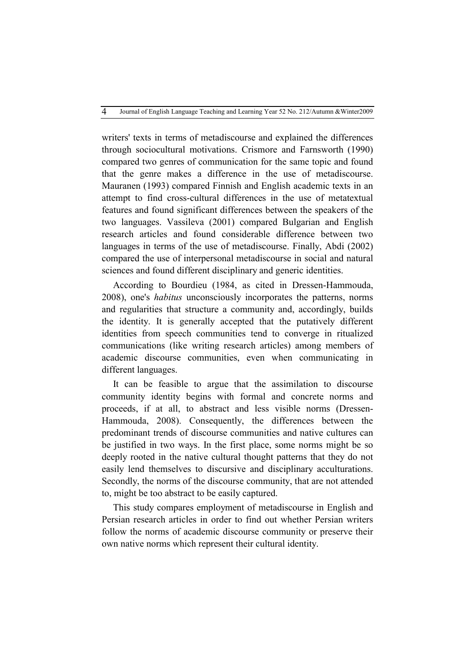writers' texts in terms of metadiscourse and explained the differences through sociocultural motivations. Crismore and Farnsworth (1990) compared two genres of communication for the same topic and found that the genre makes a difference in the use of metadiscourse. Mauranen (1993) compared Finnish and English academic texts in an attempt to find cross-cultural differences in the use of metatextual features and found significant differences between the speakers of the two languages. Vassileva (2001) compared Bulgarian and English research articles and found considerable difference between two languages in terms of the use of metadiscourse. Finally, Abdi (2002) compared the use of interpersonal metadiscourse in social and natural sciences and found different disciplinary and generic identities.

According to Bourdieu (1984, as cited in Dressen-Hammouda, 2008), one's *habitus* unconsciously incorporates the patterns, norms and regularities that structure a community and, accordingly, builds the identity. It is generally accepted that the putatively different identities from speech communities tend to converge in ritualized communications (like writing research articles) among members of academic discourse communities, even when communicating in different languages.

It can be feasible to argue that the assimilation to discourse community identity begins with formal and concrete norms and proceeds, if at all, to abstract and less visible norms (Dressen-Hammouda, 2008). Consequently, the differences between the predominant trends of discourse communities and native cultures can be justified in two ways. In the first place, some norms might be so deeply rooted in the native cultural thought patterns that they do not easily lend themselves to discursive and disciplinary acculturations. Secondly, the norms of the discourse community, that are not attended to, might be too abstract to be easily captured.

This study compares employment of metadiscourse in English and Persian research articles in order to find out whether Persian writers follow the norms of academic discourse community or preserve their own native norms which represent their cultural identity.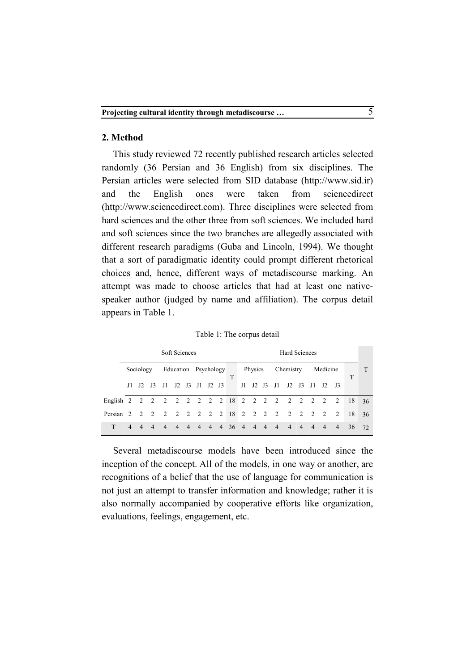## **2. Method**

This study reviewed 72 recently published research articles selected randomly (36 Persian and 36 English) from six disciplines. The Persian articles were selected from SID database (http://www.sid.ir) and the English ones were taken from sciencedirect (http://www.sciencedirect.com). Three disciplines were selected from hard sciences and the other three from soft sciences. We included hard and soft sciences since the two branches are allegedly associated with different research paradigms (Guba and Lincoln, 1994). We thought that a sort of paradigmatic identity could prompt different rhetorical choices and, hence, different ways of metadiscourse marking. An attempt was made to choose articles that had at least one nativespeaker author (judged by name and affiliation). The corpus detail appears in Table 1.

|  |  |  | Table 1: The corpus detail |  |
|--|--|--|----------------------------|--|
|--|--|--|----------------------------|--|

|                                                | Soft Sciences  |                |                 |                |                |                |                      |                |  |              | <b>Hard Sciences</b> |                |                |                                  |                |                |                |                |                |    |    |
|------------------------------------------------|----------------|----------------|-----------------|----------------|----------------|----------------|----------------------|----------------|--|--------------|----------------------|----------------|----------------|----------------------------------|----------------|----------------|----------------|----------------|----------------|----|----|
|                                                |                | Sociology      |                 |                |                |                | Education Psychology |                |  |              | Physics Chemistry    |                |                | Medicine                         |                |                |                |                |                |    |    |
|                                                | J1 –           | $_{\rm J2}$    | $\overline{13}$ | - J1           |                |                | J2 J3 J1 J2 J3       |                |  | T            |                      | $J1$ $J2$ $J3$ |                | $_{\rm J1}$                      | $J2$ $J3$      |                | J1.            | $_{\rm J2}$    | $_{\rm J3}$    | T  |    |
| English 2 2 2 2 2 2 2 2 2 18 2 2 2 2 2 2 2 2 2 |                |                |                 |                |                |                |                      |                |  |              |                      |                |                |                                  |                |                |                |                | 2              | 18 | 36 |
| Persian 2 2                                    |                |                | $\overline{2}$  |                |                |                |                      |                |  |              |                      |                |                | 2 2 2 2 2 2 18 2 2 2 2 2 2 2 2 2 |                |                |                |                | 2              | 18 | 36 |
|                                                | $\overline{4}$ | $\overline{4}$ | $\overline{4}$  | $\overline{4}$ | $\overline{4}$ | $\overline{4}$ | $\overline{4}$       | $\overline{4}$ |  | $4 \t36 \t4$ |                      | $\overline{4}$ | $\overline{4}$ | $\overline{4}$                   | $\overline{4}$ | $\overline{4}$ | $\overline{4}$ | $\overline{4}$ | $\overline{4}$ | 36 | 72 |

Several metadiscourse models have been introduced since the inception of the concept. All of the models, in one way or another, are recognitions of a belief that the use of language for communication is not just an attempt to transfer information and knowledge; rather it is also normally accompanied by cooperative efforts like organization, evaluations, feelings, engagement, etc.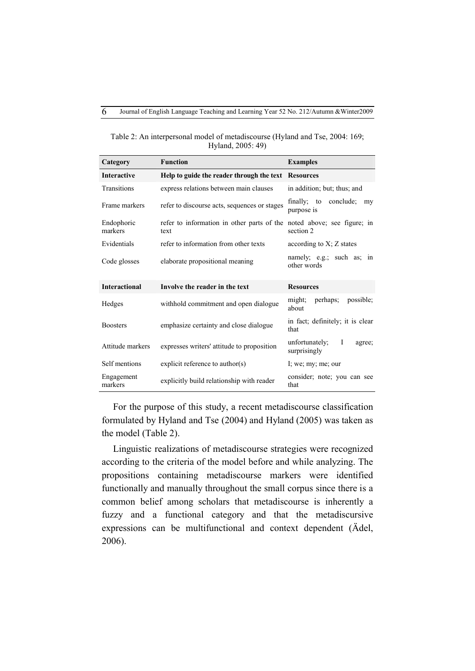| Category              | <b>Function</b>                                     | <b>Examples</b>                              |
|-----------------------|-----------------------------------------------------|----------------------------------------------|
| <b>Interactive</b>    | Help to guide the reader through the text Resources |                                              |
| Transitions           | express relations between main clauses              | in addition; but; thus; and                  |
| Frame markers         | refer to discourse acts, sequences or stages        | conclude;<br>finally; to<br>my<br>purpose is |
| Endophoric<br>markers | refer to information in other parts of the<br>text  | noted above; see figure; in<br>section 2     |
| Evidentials           | refer to information from other texts               | according to $X$ ; $Z$ states                |
| Code glosses          | elaborate propositional meaning                     | namely; e.g.; such as; in<br>other words     |
| <b>Interactional</b>  | Involve the reader in the text                      | <b>Resources</b>                             |
| Hedges                | withhold commitment and open dialogue               | might; perhaps;<br>possible:<br>about        |
| <b>Boosters</b>       | emphasize certainty and close dialogue              | in fact; definitely; it is clear<br>that     |
| Attitude markers      | expresses writers' attitude to proposition          | unfortunately; I<br>agree;<br>surprisingly   |
| Self mentions         | explicit reference to $\text{author}(s)$            | I; we; my; me; our                           |
| Engagement<br>markers | explicitly build relationship with reader           | consider; note; you can see<br>that          |

Table 2: An interpersonal model of metadiscourse (Hyland and Tse, 2004: 169; Hyland, 2005: 49)

For the purpose of this study, a recent metadiscourse classification formulated by Hyland and Tse (2004) and Hyland (2005) was taken as the model (Table 2).

Linguistic realizations of metadiscourse strategies were recognized according to the criteria of the model before and while analyzing. The propositions containing metadiscourse markers were identified functionally and manually throughout the small corpus since there is a common belief among scholars that metadiscourse is inherently a fuzzy and a functional category and that the metadiscursive expressions can be multifunctional and context dependent (Ädel, 2006).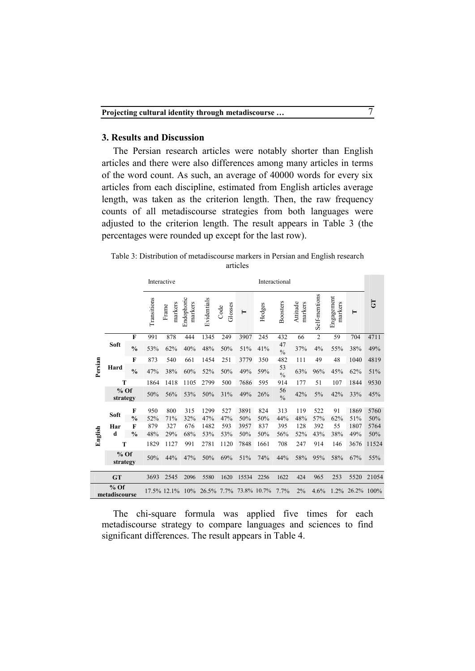### **3. Results and Discussion**

 $\overline{a}$ 

The Persian research articles were notably shorter than English articles and there were also differences among many articles in terms of the word count. As such, an average of 40000 words for every six articles from each discipline, estimated from English articles average length, was taken as the criterion length. Then, the raw frequency counts of all metadiscourse strategies from both languages were adjusted to the criterion length. The result appears in Table 3 (the percentages were rounded up except for the last row).

Table 3: Distribution of metadiscourse markers in Persian and English research articles

|         |                         |                    |             | Interactive      |                       |                        |                 |                | Interactional |                     |                     |                |                       |                    |             |  |
|---------|-------------------------|--------------------|-------------|------------------|-----------------------|------------------------|-----------------|----------------|---------------|---------------------|---------------------|----------------|-----------------------|--------------------|-------------|--|
|         |                         |                    | Transitions | markers<br>Frame | Endophoric<br>markers | Evidentials            | Glosses<br>Code | $\blacksquare$ | Hedges        | <b>Boosters</b>     | Attitude<br>markers | Self-mentions  | Engagement<br>markers | ⊨                  | 5           |  |
|         |                         | $\mathbf{F}$       | 991         | 878              | 444                   | 1345                   | 249             | 3907           | 245           | 432                 | 66                  | $\overline{c}$ | 59                    | 704                | 4711        |  |
|         | Soft                    | $\frac{0}{0}$      | 53%         | 62%              | 40%                   | 48%                    | 50%             | 51%            | 41%           | 47<br>$\frac{0}{0}$ | 37%                 | 4%             | 55%                   | 38%                | 49%         |  |
|         |                         | F                  | 873         | 540              | 661                   | 1454                   | 251             | 3779           | 350           | 482                 | 111                 | 49             | 48                    | 1040               | 4819        |  |
| Persian | Hard                    | $\frac{0}{0}$      | 47%         | 38%              | 60%                   | 52%                    | 50%             | 49%            | 59%           | 53<br>$\frac{0}{0}$ | 63%                 | 96%            | 45%                   | 62%                | 51%         |  |
|         | Т                       |                    | 1864        | 1418             | 1105                  | 2799                   | 500             | 7686           | 595           | 914                 | 177                 | 51             | 107                   | 1844               | 9530        |  |
|         | $%$ Of<br>strategy      |                    | 50%         | 56%              | 53%                   | 50%                    | 31%             | 49%            | 26%           | 56<br>$\frac{0}{0}$ | 42%                 | 5%             | 42%                   | 33%                | 45%         |  |
|         | Soft                    | F<br>$\frac{0}{0}$ | 950<br>52%  | 800<br>71%       | 315<br>32%            | 1299<br>47%            | 527<br>47%      | 3891<br>50%    | 824<br>50%    | 313<br>44%          | 119<br>48%          | 522<br>57%     | 91<br>62%             | 1869<br>51%        | 5760<br>50% |  |
|         | Har                     | $\mathbf{F}$       | 879         | 327              | 676                   | 1482                   | 593             | 3957           | 837           | 395                 | 128                 | 392            | 55                    | 1807               | 5764        |  |
| English | d                       | $\frac{0}{0}$      | 48%         | 29%              | 68%                   | 53%                    | 53%             | 50%            | 50%           | 56%                 | 52%                 | 43%            | 38%                   | 49%                | 50%         |  |
|         | T                       |                    | 1829        | 1127             | 991                   | 2781                   | 1120            | 7848           | 1661          | 708                 | 247                 | 914            | 146                   | 3676               | 11524       |  |
|         | $%$ Of<br>strategy      |                    | 50%         | 44%              | 47%                   | 50%                    | 69%             | 51%            | 74%           | 44%                 | 58%                 | 95%            | 58%                   | 67%                | 55%         |  |
|         | <b>GT</b>               |                    | 3693        | 2545             | 2096                  | 5580                   | 1620            | 15534          | 2256          | 1622                | 424                 | 965            | 253                   | 5520               | 21054       |  |
|         | $%$ Of<br>metadiscourse |                    |             | 17.5% 12.1%      | 10%                   | 26.5% 7.7% 73.8% 10.7% |                 |                |               | 7.7%                | $2\%$               | 4.6%           |                       | $1.2\%$ 26.2% 100% |             |  |

The chi-square formula was applied five times for each metadiscourse strategy to compare languages and sciences to find significant differences. The result appears in Table 4.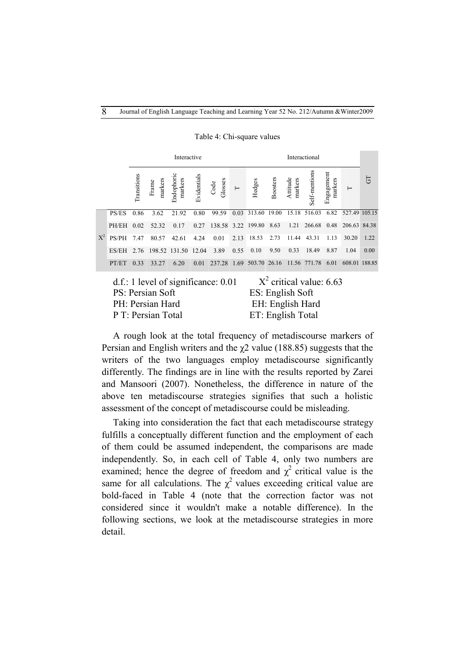|       |       |             |                     | Interactive           |             |                 |          | Interactional |                 |                     |               |                       |               |      |
|-------|-------|-------------|---------------------|-----------------------|-------------|-----------------|----------|---------------|-----------------|---------------------|---------------|-----------------------|---------------|------|
|       |       | Transitions | markers<br>Frame    | Endophoric<br>markers | Evidentials | Glosses<br>Code | $\vdash$ | Hedges        | <b>Boosters</b> | markers<br>Attitude | Self-mentions | Engagement<br>markers | $\mapsto$     | 5    |
|       | PS/ES | 0.86        | 3.62                | 21.92                 | 0.80        | 99.59           | 0.03     | 313.60        | 19.00           | 15.18               | 516.03        | 6.82                  | 527.49 105.15 |      |
|       | PH/EH | 0.02        | 52.32               | 0.17                  | 0.27        | 138.58          | 3.22     | 199.80        | 8.63            | 1.21                | 266.68        | 0.48                  | 206.63 84.38  |      |
| $X^2$ | PS/PH | 7.47        | 80.57               | 42.61                 | 4.24        | 0.01            | 2.13     | 18.53         | 2.73            | 11.44               | 43.31         | 1.13                  | 30.20         | 1.22 |
|       | ES/EH | 2.76        | 198.52 131.50 12.04 |                       |             | 3.89            | 0.55     | 0.10          | 9.50            | 0.33                | 18.49         | 8.87                  | 1.04          | 0.00 |
|       | PT/ET | 0.33        | 33.27               | 6.20                  | 0.01        | 237.28          | 1.69     | 503.70        | 26.16           | 11.56               | 771.78        | 6.01                  | 608.01 188.85 |      |

Table 4: Chi-square values

| d.f.: 1 level of significance: 0.01 | $X^2$ critical value: 6.63 |
|-------------------------------------|----------------------------|
| PS: Persian Soft                    | ES: English Soft           |
| PH: Persian Hard                    | EH: English Hard           |
| P T: Persian Total                  | ET: English Total          |

A rough look at the total frequency of metadiscourse markers of Persian and English writers and the  $\chi$ 2 value (188.85) suggests that the writers of the two languages employ metadiscourse significantly differently. The findings are in line with the results reported by Zarei and Mansoori (2007). Nonetheless, the difference in nature of the above ten metadiscourse strategies signifies that such a holistic assessment of the concept of metadiscourse could be misleading.

Taking into consideration the fact that each metadiscourse strategy fulfills a conceptually different function and the employment of each of them could be assumed independent, the comparisons are made independently. So, in each cell of Table 4, only two numbers are examined; hence the degree of freedom and  $\chi^2$  critical value is the same for all calculations. The  $\chi^2$  values exceeding critical value are bold-faced in Table 4 (note that the correction factor was not considered since it wouldn't make a notable difference). In the following sections, we look at the metadiscourse strategies in more detail.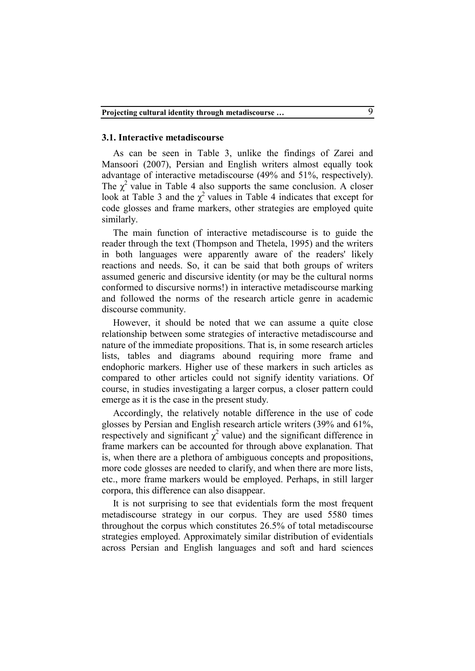#### **3.1. Interactive metadiscourse**

As can be seen in Table 3, unlike the findings of Zarei and Mansoori (2007), Persian and English writers almost equally took advantage of interactive metadiscourse (49% and 51%, respectively). The  $\chi^2$  value in Table 4 also supports the same conclusion. A closer look at Table 3 and the  $\chi^2$  values in Table 4 indicates that except for code glosses and frame markers, other strategies are employed quite similarly.

The main function of interactive metadiscourse is to guide the reader through the text (Thompson and Thetela, 1995) and the writers in both languages were apparently aware of the readers' likely reactions and needs. So, it can be said that both groups of writers assumed generic and discursive identity (or may be the cultural norms conformed to discursive norms!) in interactive metadiscourse marking and followed the norms of the research article genre in academic discourse community.

However, it should be noted that we can assume a quite close relationship between some strategies of interactive metadiscourse and nature of the immediate propositions. That is, in some research articles lists, tables and diagrams abound requiring more frame and endophoric markers. Higher use of these markers in such articles as compared to other articles could not signify identity variations. Of course, in studies investigating a larger corpus, a closer pattern could emerge as it is the case in the present study.

Accordingly, the relatively notable difference in the use of code glosses by Persian and English research article writers (39% and 61%, respectively and significant  $\chi^2$  value) and the significant difference in frame markers can be accounted for through above explanation. That is, when there are a plethora of ambiguous concepts and propositions, more code glosses are needed to clarify, and when there are more lists, etc., more frame markers would be employed. Perhaps, in still larger corpora, this difference can also disappear.

It is not surprising to see that evidentials form the most frequent metadiscourse strategy in our corpus. They are used 5580 times throughout the corpus which constitutes 26.5% of total metadiscourse strategies employed. Approximately similar distribution of evidentials across Persian and English languages and soft and hard sciences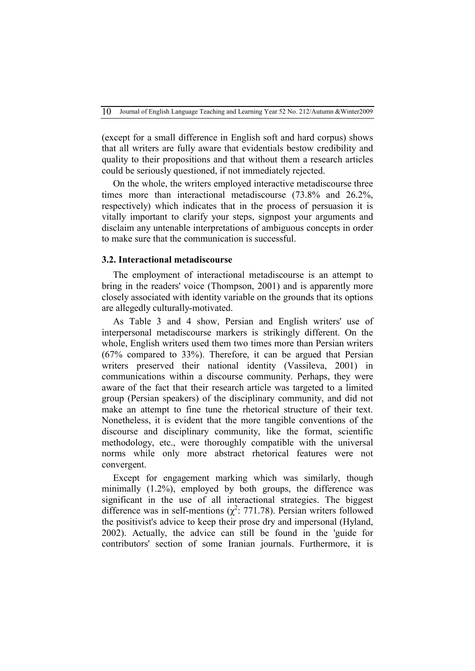(except for a small difference in English soft and hard corpus) shows that all writers are fully aware that evidentials bestow credibility and quality to their propositions and that without them a research articles could be seriously questioned, if not immediately rejected.

On the whole, the writers employed interactive metadiscourse three times more than interactional metadiscourse (73.8% and 26.2%, respectively) which indicates that in the process of persuasion it is vitally important to clarify your steps, signpost your arguments and disclaim any untenable interpretations of ambiguous concepts in order to make sure that the communication is successful.

### **3.2. Interactional metadiscourse**

The employment of interactional metadiscourse is an attempt to bring in the readers' voice (Thompson, 2001) and is apparently more closely associated with identity variable on the grounds that its options are allegedly culturally-motivated.

As Table 3 and 4 show, Persian and English writers' use of interpersonal metadiscourse markers is strikingly different. On the whole, English writers used them two times more than Persian writers (67% compared to 33%). Therefore, it can be argued that Persian writers preserved their national identity (Vassileva, 2001) in communications within a discourse community. Perhaps, they were aware of the fact that their research article was targeted to a limited group (Persian speakers) of the disciplinary community, and did not make an attempt to fine tune the rhetorical structure of their text. Nonetheless, it is evident that the more tangible conventions of the discourse and disciplinary community, like the format, scientific methodology, etc., were thoroughly compatible with the universal norms while only more abstract rhetorical features were not convergent.

Except for engagement marking which was similarly, though minimally (1.2%), employed by both groups, the difference was significant in the use of all interactional strategies. The biggest difference was in self-mentions ( $\chi^2$ : 771.78). Persian writers followed the positivist's advice to keep their prose dry and impersonal (Hyland, 2002). Actually, the advice can still be found in the 'guide for contributors' section of some Iranian journals. Furthermore, it is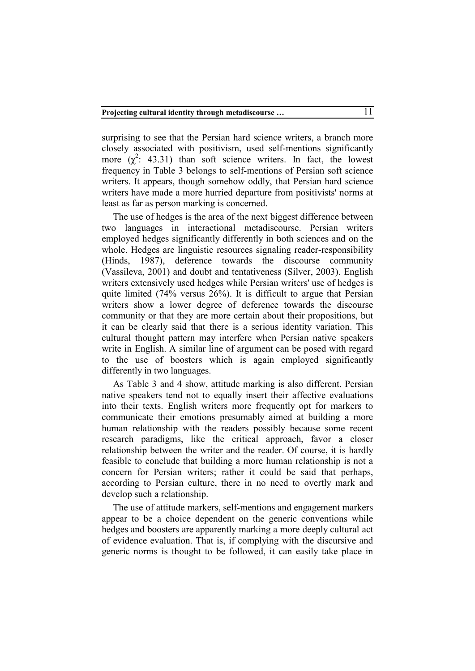surprising to see that the Persian hard science writers, a branch more closely associated with positivism, used self-mentions significantly more  $(\chi^2$ : 43.31) than soft science writers. In fact, the lowest frequency in Table 3 belongs to self-mentions of Persian soft science writers. It appears, though somehow oddly, that Persian hard science writers have made a more hurried departure from positivists' norms at least as far as person marking is concerned.

The use of hedges is the area of the next biggest difference between two languages in interactional metadiscourse. Persian writers employed hedges significantly differently in both sciences and on the whole. Hedges are linguistic resources signaling reader-responsibility (Hinds, 1987), deference towards the discourse community (Vassileva, 2001) and doubt and tentativeness (Silver, 2003). English writers extensively used hedges while Persian writers' use of hedges is quite limited (74% versus 26%). It is difficult to argue that Persian writers show a lower degree of deference towards the discourse community or that they are more certain about their propositions, but it can be clearly said that there is a serious identity variation. This cultural thought pattern may interfere when Persian native speakers write in English. A similar line of argument can be posed with regard to the use of boosters which is again employed significantly differently in two languages.

As Table 3 and 4 show, attitude marking is also different. Persian native speakers tend not to equally insert their affective evaluations into their texts. English writers more frequently opt for markers to communicate their emotions presumably aimed at building a more human relationship with the readers possibly because some recent research paradigms, like the critical approach, favor a closer relationship between the writer and the reader. Of course, it is hardly feasible to conclude that building a more human relationship is not a concern for Persian writers; rather it could be said that perhaps, according to Persian culture, there in no need to overtly mark and develop such a relationship.

The use of attitude markers, self-mentions and engagement markers appear to be a choice dependent on the generic conventions while hedges and boosters are apparently marking a more deeply cultural act of evidence evaluation. That is, if complying with the discursive and generic norms is thought to be followed, it can easily take place in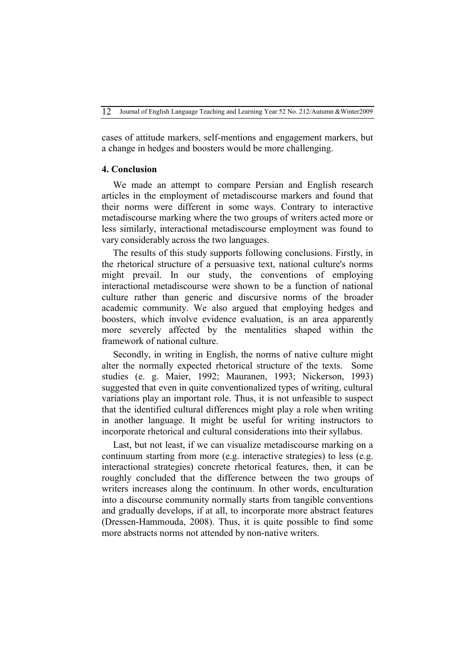cases of attitude markers, self-mentions and engagement markers, but a change in hedges and boosters would be more challenging.

#### **4. Conclusion**

We made an attempt to compare Persian and English research articles in the employment of metadiscourse markers and found that their norms were different in some ways. Contrary to interactive metadiscourse marking where the two groups of writers acted more or less similarly, interactional metadiscourse employment was found to vary considerably across the two languages.

The results of this study supports following conclusions. Firstly, in the rhetorical structure of a persuasive text, national culture's norms might prevail. In our study, the conventions of employing interactional metadiscourse were shown to be a function of national culture rather than generic and discursive norms of the broader academic community. We also argued that employing hedges and boosters, which involve evidence evaluation, is an area apparently more severely affected by the mentalities shaped within the framework of national culture.

Secondly, in writing in English, the norms of native culture might alter the normally expected rhetorical structure of the texts. Some studies (e. g. Maier, 1992; Mauranen, 1993; Nickerson, 1993) suggested that even in quite conventionalized types of writing, cultural variations play an important role. Thus, it is not unfeasible to suspect that the identified cultural differences might play a role when writing in another language. It might be useful for writing instructors to incorporate rhetorical and cultural considerations into their syllabus.

Last, but not least, if we can visualize metadiscourse marking on a continuum starting from more (e.g. interactive strategies) to less (e.g. interactional strategies) concrete rhetorical features, then, it can be roughly concluded that the difference between the two groups of writers increases along the continuum. In other words, enculturation into a discourse community normally starts from tangible conventions and gradually develops, if at all, to incorporate more abstract features (Dressen-Hammouda, 2008). Thus, it is quite possible to find some more abstracts norms not attended by non-native writers.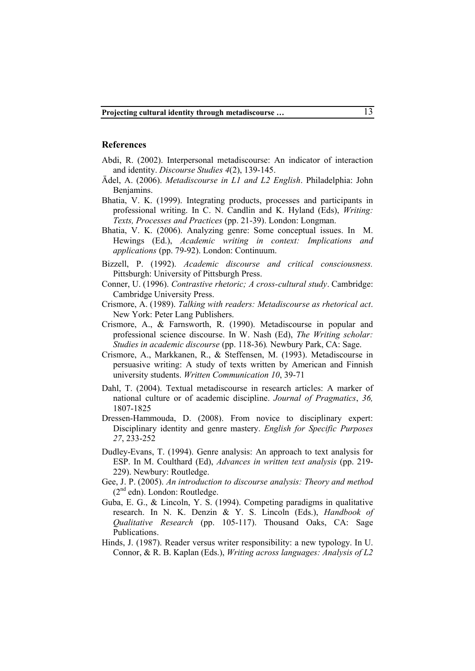#### **References**

- Abdi, R. (2002). Interpersonal metadiscourse: An indicator of interaction and identity. *Discourse Studies 4*(2), 139-145.
- Ä del, A. (2006). *Metadiscourse in L1 and L2 English*. Philadelphia: John Benjamins.
- Bhatia, V. K. (1999). Integrating products, processes and participants in professional writing. In C. N. Candlin and K. Hyland (Eds), *Writing: Texts, Processes and Practices* (pp. 21-39). London: Longman.
- Bhatia, V. K. (2006). Analyzing genre: Some conceptual issues. In M. Hewings (Ed.), *Academic writing in context: Implications and applications* (pp. 79-92). London: Continuum.
- Bizzell, P. (1992). *Academic discourse and critical consciousness.* Pittsburgh: University of Pittsburgh Press.
- Conner, U. (1996). *Contrastive rhetoric; A cross-cultural study*. Cambridge: Cambridge University Press.
- Crismore, A. (1989). *Talking with readers: Metadiscourse as rhetorical act*. New York: Peter Lang Publishers.
- Crismore, A., & Farnsworth, R. (1990). Metadiscourse in popular and professional science discourse. In W. Nash (Ed), *The Writing scholar: Studies in academic discourse* (pp. 118-36)*.* Newbury Park, CA: Sage.
- Crismore, A., Markkanen, R., & Steffensen, M. (1993). Metadiscourse in persuasive writing: A study of texts written by American and Finnish university students. *Written Communication 10*, 39-71
- Dahl, T. (2004). Textual metadiscourse in research articles: A marker of national culture or of academic discipline. *Journal of Pragmatics*, *36,*  1807-1825
- Dressen-Hammouda, D. (2008). From novice to disciplinary expert: Disciplinary identity and genre mastery. *English for Specific Purposes 27*, 233-252
- Dudley-Evans, T. (1994). Genre analysis: An approach to text analysis for ESP. In M. Coulthard (Ed), *Advances in written text analysis* (pp. 219- 229). Newbury: Routledge.
- Gee, J. P. (2005). *An introduction to discourse analysis: Theory and method*  (2nd edn). London: Routledge.
- Guba, E. G., & Lincoln, Y. S. (1994). Competing paradigms in qualitative research. In N. K. Denzin & Y. S. Lincoln (Eds.), *Handbook of Qualitative Research* (pp. 105-117). Thousand Oaks, CA: Sage Publications.
- Hinds, J. (1987). Reader versus writer responsibility: a new typology. In U. Connor, & R. B. Kaplan (Eds.), *Writing across languages: Analysis of L2*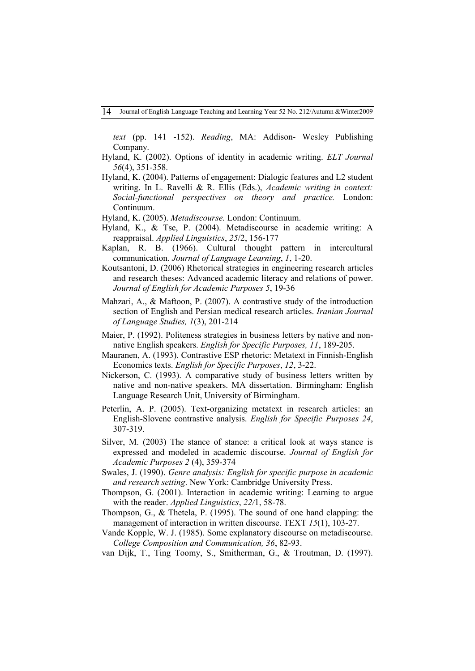*text* (pp. 141 -152). *Reading*, MA: Addison- Wesley Publishing Company.

- Hyland, K. (2002). Options of identity in academic writing. *ELT Journal 56*(4), 351-358.
- Hyland, K. (2004). Patterns of engagement: Dialogic features and L2 student writing. In L. Ravelli & R. Ellis (Eds.), *Academic writing in context: Social-functional perspectives on theory and practice.* London: Continuum.
- Hyland, K. (2005). *Metadiscourse.* London: Continuum.
- Hyland, K., & Tse, P. (2004). Metadiscourse in academic writing: A reappraisal. *Applied Linguistics*, *25*/2, 156-177
- Kaplan, R. B. (1966). Cultural thought pattern in intercultural communication. *Journal of Language Learning*, *1*, 1-20.
- Koutsantoni, D. (2006) Rhetorical strategies in engineering research articles and research theses: Advanced academic literacy and relations of power. *Journal of English for Academic Purposes 5*, 19-36
- Mahzari, A., & Maftoon, P. (2007). A contrastive study of the introduction section of English and Persian medical research articles. *Iranian Journal of Language Studies, 1*(3), 201-214
- Maier, P. (1992). Politeness strategies in business letters by native and nonnative English speakers. *English for Specific Purposes, 11*, 189-205.
- Mauranen, A. (1993). Contrastive ESP rhetoric: Metatext in Finnish-English Economics texts. *English for Specific Purposes*, *12*, 3-22.
- Nickerson, C. (1993). A comparative study of business letters written by native and non-native speakers. MA dissertation. Birmingham: English Language Research Unit, University of Birmingham.
- Peterlin, A. P. (2005). Text-organizing metatext in research articles: an English-Slovene contrastive analysis. *English for Specific Purposes 24*, 307-319.
- Silver, M. (2003) The stance of stance: a critical look at ways stance is expressed and modeled in academic discourse. *Journal of English for Academic Purposes 2* (4), 359-374
- Swales, J. (1990). *Genre analysis: English for specific purpose in academic and research setting*. New York: Cambridge University Press.
- Thompson, G. (2001). Interaction in academic writing: Learning to argue with the reader. *Applied Linguistics*, *22/*1, 58-78.
- Thompson, G., & Thetela, P. (1995). The sound of one hand clapping: the management of interaction in written discourse. TEXT *15*(1), 103-27.
- Vande Kopple, W. J. (1985). Some explanatory discourse on metadiscourse. *College Composition and Communication, 36*, 82-93.
- van Dijk, T., Ting Toomy, S., Smitherman, G., & Troutman, D. (1997).